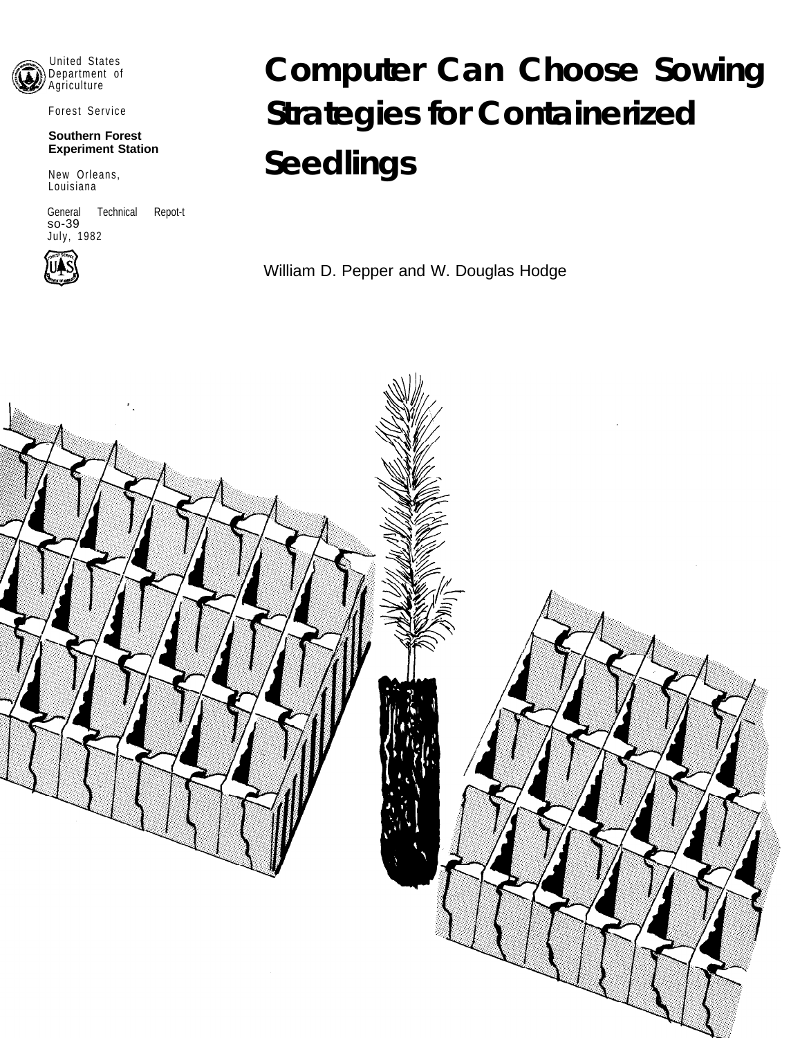

Forest Service

#### **Southern Forest Experiment Station**

New Orleans, Louisiana

General Technical Repot-t so-39 July, 1982



# **Computer Can Choose Sowing Strategies for Containerized Seedlings**

William D. Pepper and W. Douglas Hodge

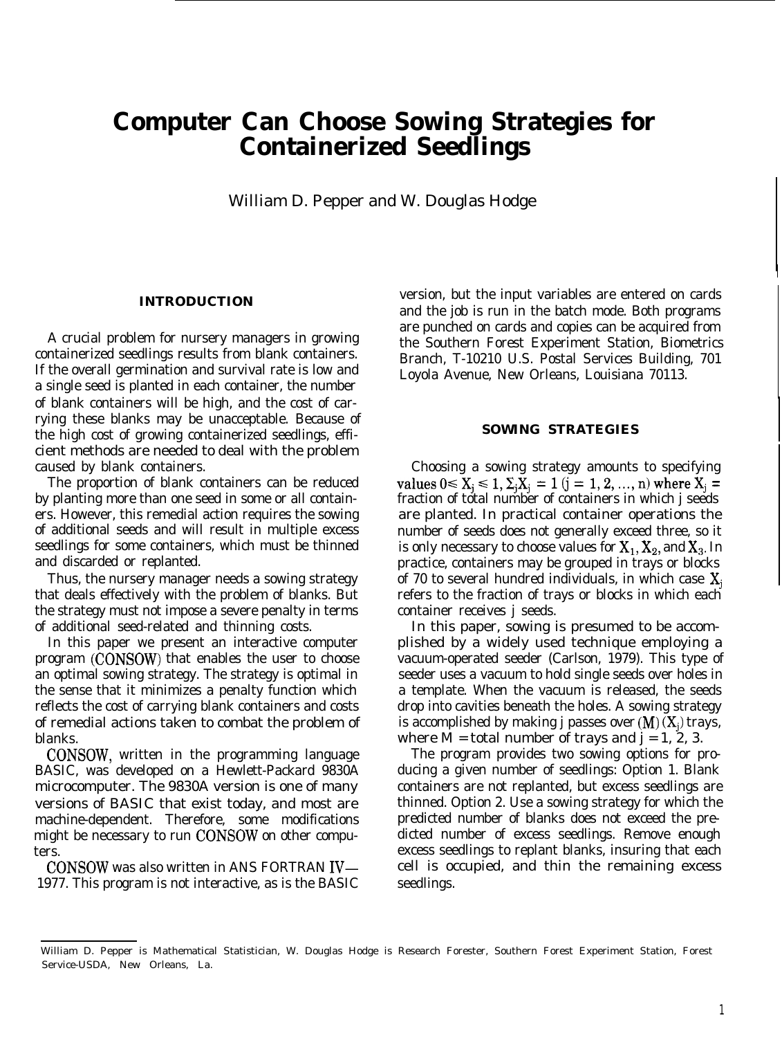# **Computer Can Choose Sowing Strategies for Containerized Seedlings**

William D. Pepper and W. Douglas Hodge

# **INTRODUCTION**

A crucial problem for nursery managers in growing containerized seedlings results from blank containers. If the overall germination and survival rate is low and a single seed is planted in each container, the number of blank containers will be high, and the cost of carrying these blanks may be unacceptable. Because of the high cost of growing containerized seedlings, efficient methods are needed to deal with the problem caused by blank containers.

The proportion of blank containers can be reduced by planting more than one seed in some or all containers. However, this remedial action requires the sowing of additional seeds and will result in multiple excess seedlings for some containers, which must be thinned and discarded or replanted.

Thus, the nursery manager needs a sowing strategy that deals effectively with the problem of blanks. But the strategy must not impose a severe penalty in terms of additional seed-related and thinning costs.

In this paper we present an interactive computer program (CONSOW) that enables the user to choose an optimal sowing strategy. The strategy is optimal in the sense that it minimizes a penalty function which reflects the cost of carrying blank containers and costs of remedial actions taken to combat the problem of blanks.

CONSOW, written in the programming language BASIC, was developed on a Hewlett-Packard 9830A microcomputer. The 9830A version is one of many versions of BASIC that exist today, and most are machine-dependent. Therefore, some modifications might be necessary to run CONSOW on other computers.

CONSOW was also written in ANS FORTRAN IV-1977. This program is not interactive, as is the BASIC version, but the input variables are entered on cards and the job is run in the batch mode. Both programs are punched on cards and copies can be acquired from the Southern Forest Experiment Station, Biometrics Branch, T-10210 U.S. Postal Services Building, 701 Loyola Avenue, New Orleans, Louisiana 70113.

#### **SOWING STRATEGIES**

Choosing a sowing strategy amounts to specifying values  $0 \le X_j \le 1$ ,  $\Sigma_j X_j = 1$  (j = 1, 2, ..., n) where  $X_j$  = fraction of total number of containers in which j seeds are planted. In practical container operations the number of seeds does not generally exceed three, so it is only necessary to choose values for  $X_1, X_2$ , and  $X_3$ . In practice, containers may be grouped in trays or blocks of 70 to several hundred individuals, in which case  $X_i$ refers to the fraction of trays or blocks in which each container receives j seeds.

In this paper, sowing is presumed to be accomplished by a widely used technique employing a vacuum-operated seeder (Carlson, 1979). This type of seeder uses a vacuum to hold single seeds over holes in a template. When the vacuum is released, the seeds drop into cavities beneath the holes. A sowing strategy is accomplished by making j passes over  $(M)(X_i)$  trays, where  $M =$  total number of trays and  $j = 1, 2, 3$ .

The program provides two sowing options for producing a given number of seedlings: Option 1. Blank containers are not replanted, but excess seedlings are thinned. Option 2. Use a sowing strategy for which the predicted number of blanks does not exceed the predicted number of excess seedlings. Remove enough excess seedlings to replant blanks, insuring that each cell is occupied, and thin the remaining excess seedlings.

William D. Pepper is Mathematical Statistician, W. Douglas Hodge is Research Forester, Southern Forest Experiment Station, Forest Service-USDA, New Orleans, La.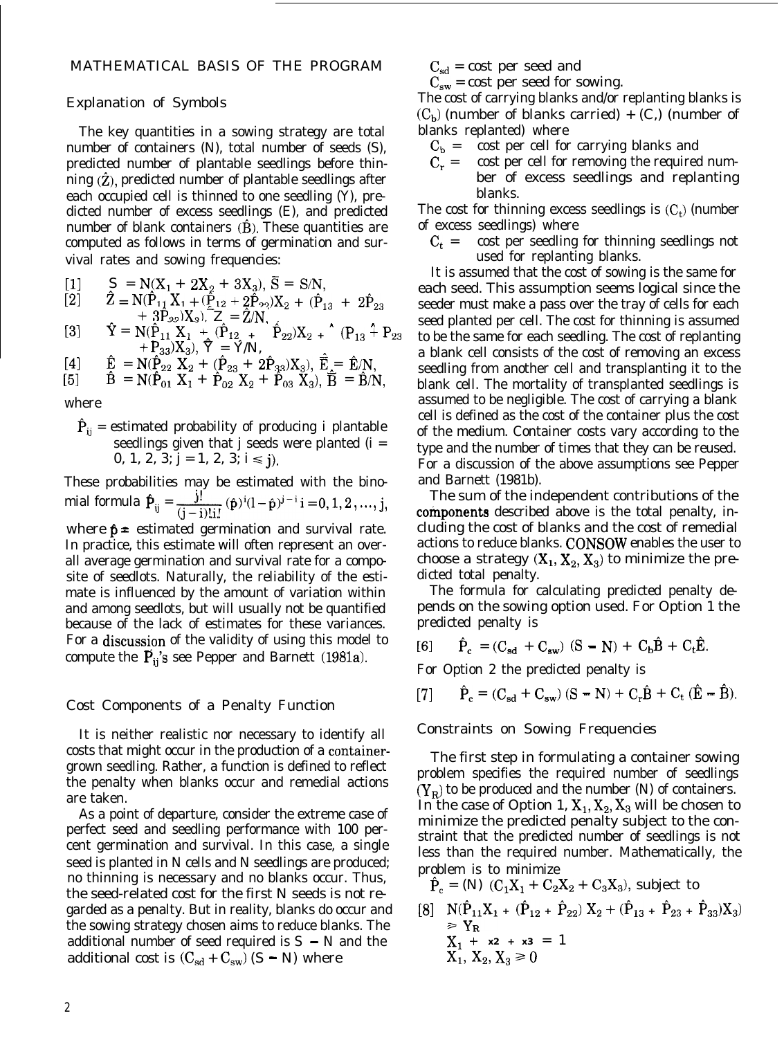#### MATHEMATICAL BASIS OF THE PROGRAM

# Explanation of Symbols

The key quantities in a sowing strategy are total number of containers (N), total number of seeds (S), predicted number of plantable seedlings before thinning  $(\hat{Z})$ , predicted number of plantable seedlings after each occupied cell is thinned to one seedling (Y), predicted number of excess seedlings (E), and predicted number of blank containers  $(B)$ . These quantities are computed as follows in terms of germination and survival rates and sowing frequencies:

[1]  $S = N(X_1 + 2X_2 + 3X_3), \overline{S} = S/N$ ,

$$
\begin{array}{lll}\n\text{[2]} & \hat{Z} = N(\hat{P}_{11}X_{1} + (\hat{P}_{12} + 2\hat{P}_{22})X_{2} + (\hat{P}_{13} + 2\hat{P}_{23} + 3\hat{P}_{32})X_{3}), & Z = \hat{Z}/N,\n\end{array}
$$

[3] 
$$
\hat{Y} = N(\hat{P}_{11}X_1 + (\hat{P}_{12} + \hat{P}_{22})X_2 + (\hat{P}_{13} + \hat{P}_{23}X_3), \hat{Y} = Y/N,
$$

- $[4] \qquad \hat{E} = N(\hat{P}_{22} X_2 + (\hat{P}_{23} + 2\hat{P}_{33})X_3), \ \hat{\vec{E}} = \hat{E}/N,$
- [5]  $\vec{B} = N(\hat{P}_{01} X_1 + \hat{P}_{02} X_2 + \hat{P}_{03} X_3), \vec{B} = \vec{B}/N,$

where

 $\hat{P}_{ii}$  = estimated probability of producing i plantable seedlings given that  $j$  seeds were planted  $(i =$ 0, 1, 2, 3;  $j = 1$ , 2, 3;  $i \le j$ ).

These probabilities may be estimated with the binomial formula  $\mathbf{\hat{P}}_{ij} = \frac{j!}{(j-i)!(i)!} (\hat{\mathbf{p}})^i (1-\hat{\mathbf{p}})^{j-i} i = 0, 1, 2, ..., j,$ where  $\hat{p}$  = estimated germination and survival rate. In practice, this estimate will often represent an overall average germination and survival rate for a composite of seedlots. Naturally, the reliability of the estimate is influenced by the amount of variation within and among seedlots, but will usually not be quantified because of the lack of estimates for these variances. For a discussion of the validity of using this model to compute the  $\overline{P}_{ij}$ 's see Pepper and Barnett (1981a).

#### Cost Components of a Penalty Function

It is neither realistic nor necessary to identify all costs that might occur in the production of a containergrown seedling. Rather, a function is defined to reflect the penalty when blanks occur and remedial actions are taken.

As a point of departure, consider the extreme case of perfect seed and seedling performance with 100 percent germination and survival. In this case, a single seed is planted in N cells and N seedlings are produced; no thinning is necessary and no blanks occur. Thus, the seed-related cost for the first N seeds is not regarded as a penalty. But in reality, blanks do occur and the sowing strategy chosen aims to reduce blanks. The additional number of seed required is  $S - N$  and the additional cost is  $(C_{sd} + C_{sw})$  (S - N) where

 $C_{sd}$  = cost per seed and

 $C_{\rm sw}$  = cost per seed for sowing.

The cost of carrying blanks and/or replanting blanks is  $(C_b)$  (number of blanks carried) +  $(C_i)$  (number of blanks replanted) where

- $C_b$  = cost per cell for carrying blanks and
- $C_r$  = cost per cell for removing the required number of excess seedlings and replanting blanks.

The cost for thinning excess seedlings is  $(C_t)$  (number of excess seedlings) where

 $C_t$  = cost per seedling for thinning seedlings not used for replanting blanks.

It is assumed that the cost of sowing is the same for each seed. This assumption seems logical since the seeder must make a pass over the tray of cells for each seed planted per cell. The cost for thinning is assumed to be the same for each seedling. The cost of replanting a blank cell consists of the cost of removing an excess seedling from another cell and transplanting it to the blank cell. The mortality of transplanted seedlings is assumed to be negligible. The cost of carrying a blank cell is defined as the cost of the container plus the cost of the medium. Container costs vary according to the type and the number of times that they can be reused. For a discussion of the above assumptions see Pepper and Barnett (1981b).

The sum of the independent contributions of the components described above is the total penalty, including the cost of blanks and the cost of remedial actions to reduce blanks. CONSOW enables the user to choose a strategy  $(X_1, X_2, X_3)$  to minimize the predicted total penalty.

The formula for calculating predicted penalty depends on the sowing option used. For Option 1 the predicted penalty is

$$
[\mathbf{6}] \qquad \hat{\mathbf{P}}_{\mathbf{c}} = (\mathbf{C}_{\mathbf{sd}} + \mathbf{C}_{\mathbf{sw}}) (\mathbf{S} - \mathbf{N}) + \mathbf{C}_{\mathbf{b}} \hat{\mathbf{B}} + \mathbf{C}_{\mathbf{t}} \hat{\mathbf{E}}.
$$

For Option 2 the predicted penalty is

[7] 
$$
\hat{P}_c = (C_{sd} + C_{sw}) (S - N) + C_r \hat{B} + C_t (\hat{E} - \hat{B}).
$$

Constraints on Sowing Frequencies

The first step in formulating a container sowing problem specifies the required number of seedlings  $(Y_R)$  to be produced and the number (N) of containers. In the case of Option 1,  $X_1, X_2, X_3$  will be chosen to minimize the predicted penalty subject to the constraint that the predicted number of seedlings is not less than the required number. Mathematically, the problem is to minimize

 $\hat{P}_c = (N)$   $(C_1X_1 + C_2X_2 + C_3X_3)$ , subject to  $\begin{array}{lll} [8] & {\cal N}(\hat{P}_{11}X_{1} + (\hat{P}_{12} + \ \hat{P}_{22})\ X_{2} + (\hat{P}_{13} + \ \hat{P}_{23} + \ \hat{P}_{33})X_{3}) \\ & > Y_{R} \end{array}$  $X_1 + x_2 + x_3 = 1$  $X_1, X_2, X_3 \ge 0$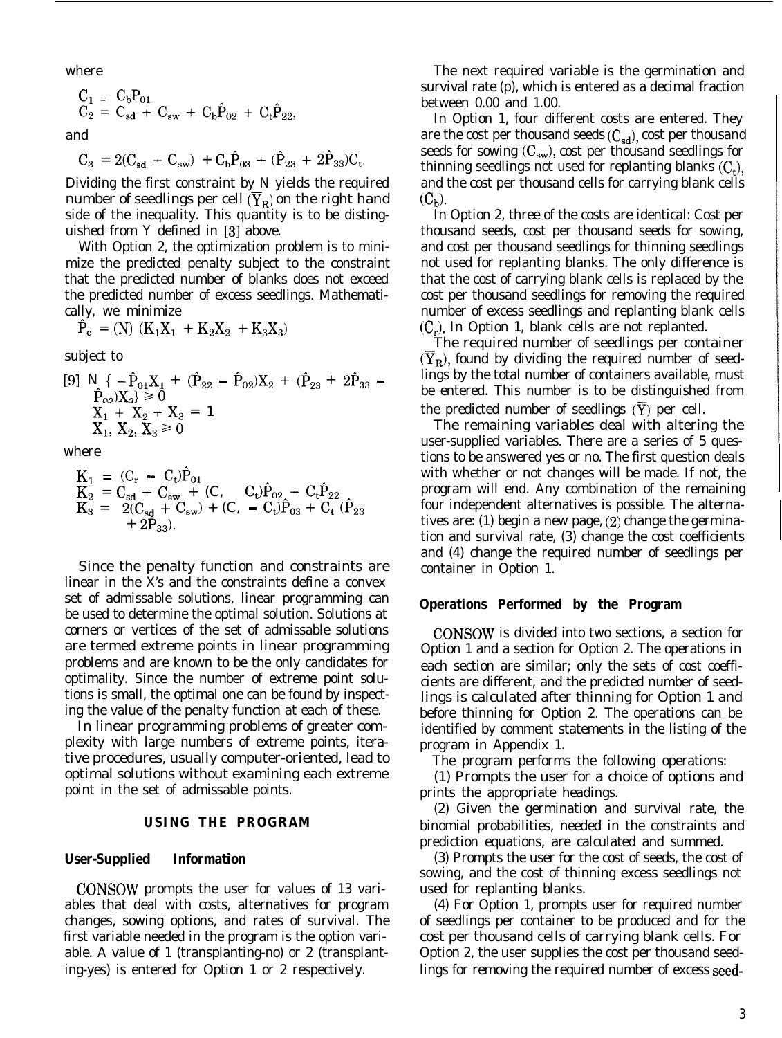where

$$
\begin{array}{ccc} C_1 & = & C_b P_{01} \\ C_2 & = & C_{sd} \; + \; C_{sw} \; + \; C_b \hat{P}_{02} \; + \; C_t \hat{P}_{22}, \end{array}
$$

and

$$
C_3 = 2(C_{sd} + C_{sw}) + C_b \hat{P}_{03} + (\hat{P}_{23} + 2\hat{P}_{33})C_t
$$

Dividing the first constraint by N yields the required number of seedlings per cell  $(\overline{Y}_R)$  on the right hand side of the inequality. This quantity is to be distinguished from Y defined in [3] above.

With Option 2, the optimization problem is to minimize the predicted penalty subject to the constraint that the predicted number of blanks does not exceed the predicted number of excess seedlings. Mathematically, we minimize

$$
\hat{P}_c = (N) (K_1 X_1 + K_2 X_2 + K_3 X_3)
$$

subject to

$$
[9] N \{ -\hat{P}_{01}X_1 + (\hat{P}_{22} - \hat{P}_{02})X_2 + (\hat{P}_{23} + 2\hat{P}_{33} - \hat{P}_{03})X_3 \} \ge 0
$$
  
\n
$$
X_1 + X_2 + X_3 = 1
$$
  
\n
$$
X_1, X_2, X_3 \ge 0
$$

where

$$
\begin{array}{lll} K_1 & = \; (C_r \; - \; C_t) \hat{P}_{01} \\ K_2 & = \; C_{sd} \; + \; C_{sw} \; + \; (C, \; \; - \; C_t) \hat{P}_{02} \; + \; C_t \hat{P}_{22} \\ K_3 & = \; \; 2 (C_{sd} \; + \; C_{sw}) \; + \; (C, \; - \; C_t) \hat{P}_{03} \; + \; C_t \; (\hat{P}_{23} \\ & \; + \; 2 \hat{P}_{33}). \end{array}
$$

Since the penalty function and constraints are linear in the X's and the constraints define a convex set of admissable solutions, linear programming can be used to determine the optimal solution. Solutions at corners or vertices of the set of admissable solutions are termed extreme points in linear programming problems and are known to be the only candidates for optimality. Since the number of extreme point solutions is small, the optimal one can be found by inspecting the value of the penalty function at each of these.

In linear programming problems of greater complexity with large numbers of extreme points, iterative procedures, usually computer-oriented, lead to optimal solutions without examining each extreme point in the set of admissable points.

# **USING THE PROGRAM**

#### **User-Supplied Information**

CONSOW prompts the user for values of 13 variables that deal with costs, alternatives for program changes, sowing options, and rates of survival. The first variable needed in the program is the option variable. A value of 1 (transplanting-no) or 2 (transplanting-yes) is entered for Option 1 or 2 respectively.

The next required variable is the germination and survival rate (p), which is entered as a decimal fraction between 0.00 and 1.00.

In Option 1, four different costs are entered. They are the cost per thousand seeds  $(C_{sd})$ , cost per thousand seeds for sowing  $(C_{sw})$ , cost per thousand seedlings for thinning seedlings not used for replanting blanks  $(C_t)$ , and the cost per thousand cells for carrying blank cells  $(C<sub>b</sub>)$ .

In Option 2, three of the costs are identical: Cost per thousand seeds, cost per thousand seeds for sowing, and cost per thousand seedlings for thinning seedlings not used for replanting blanks. The only difference is that the cost of carrying blank cells is replaced by the cost per thousand seedlings for removing the required number of excess seedlings and replanting blank cells  $(C_r)$ . In Option 1, blank cells are not replanted.

The required number of seedlings per container  $(Y_R)$ , found by dividing the required number of seedlings by the total number of containers available, must be entered. This number is to be distinguished from the predicted number of seedlings  $(Y)$  per cell.

The remaining variables deal with altering the user-supplied variables. There are a series of 5 questions to be answered yes or no. The first question deals with whether or not changes will be made. If not, the program will end. Any combination of the remaining four independent alternatives is possible. The alternatives are: (1) begin a new page, (2) change the germination and survival rate, (3) change the cost coefficients and (4) change the required number of seedlings per container in Option 1.

#### **Operations Performed by the Program**

CONSOW is divided into two sections, a section for Option 1 and a section for Option 2. The operations in each section are similar; only the sets of cost coefficients are different, and the predicted number of seedlings is calculated after thinning for Option 1 and before thinning for Option 2. The operations can be identified by comment statements in the listing of the program in Appendix 1.

The program performs the following operations:

(1) Prompts the user for a choice of options and prints the appropriate headings.

(2) Given the germination and survival rate, the binomial probabilities, needed in the constraints and prediction equations, are calculated and summed.

(3) Prompts the user for the cost of seeds, the cost of sowing, and the cost of thinning excess seedlings not used for replanting blanks.

(4) For Option 1, prompts user for required number of seedlings per container to be produced and for the cost per thousand cells of carrying blank cells. For Option 2, the user supplies the cost per thousand seedlings for removing the required number of excess seed-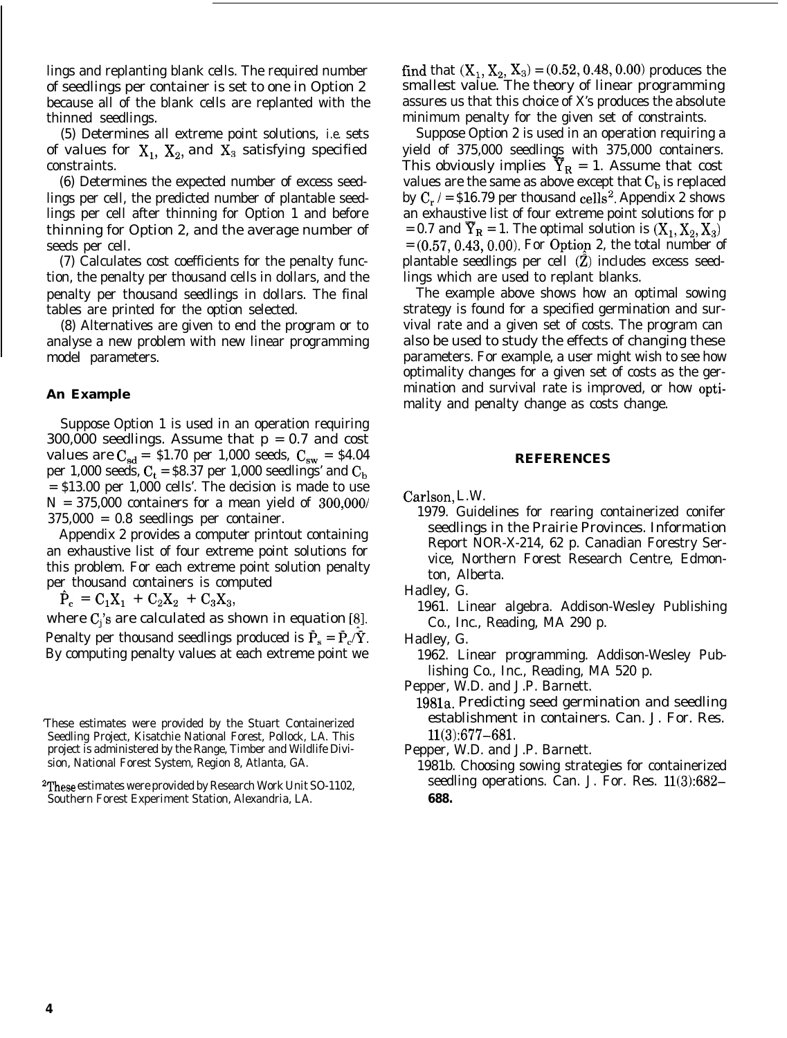lings and replanting blank cells. The required number of seedlings per container is set to one in Option 2 because all of the blank cells are replanted with the thinned seedlings.

(5) Determines all extreme point solutions, *i.e.* sets of values for  $X_1$ ,  $X_2$ , and  $X_3$  satisfying specified constraints.

(6) Determines the expected number of excess seedlings per cell, the predicted number of plantable seedlings per cell after thinning for Option 1 and before thinning for Option 2, and the average number of seeds per cell.

(7) Calculates cost coefficients for the penalty function, the penalty per thousand cells in dollars, and the penalty per thousand seedlings in dollars. The final tables are printed for the option selected.

(8) Alternatives are given to end the program or to analyse a new problem with new linear programming model parameters.

### **An Example**

Suppose Option 1 is used in an operation requiring 300,000 seedlings. Assume that p = 0.7 and cost values are  $C_{sd} = $1.70$  per 1,000 seeds,  $C_{sw} = $4.04$ per 1,000 seeds,  $C_t$  = \$8.37 per 1,000 seedlings' and  $C_b$ = \$13.00 per 1,000 cells'. The decision is made to use  $N = 375,000$  containers for a mean yield of  $300,000/$ 375,000 = 0.8 seedlings per container.

Appendix 2 provides a computer printout containing an exhaustive list of four extreme point solutions for this problem. For each extreme point solution penalty per thousand containers is computed

 $\hat{P}_c = C_1 X_1 + C_2 X_2 + C_3 X_3,$ 

where  $C_i$ 's are calculated as shown in equation [8]. Penalty per thousand seedlings produced is  $\tilde{P}_s = \tilde{P}_c/\tilde{Y}$ . By computing penalty values at each extreme point we find that  $(X_1, X_2, X_3) = (0.52, 0.48, 0.00)$  produces the smallest value. The theory of linear programming assures us that this choice of X's produces the absolute minimum penalty for the given set of constraints.

Suppose Option 2 is used in an operation requiring a yield of 375,000 seedlings with 375,000 containers. This obviously implies  $Y_R = 1$ . Assume that cost values are the same as above except that  $C<sub>b</sub>$  is replaced by  $C_r$  / = \$16.79 per thousand cells<sup>2</sup>. Appendix 2 shows an exhaustive list of four extreme point solutions for p = 0.7 and  $\overline{Y}_R$  = 1. The optimal solution is  $(X_1, X_2, X_3)$  $= (0.57, 0.43, 0.00)$ . For Option 2, the total number of plantable seedlings per cell  $(\bar{Z})$  includes excess seedlings which are used to replant blanks.

The example above shows how an optimal sowing strategy is found for a specified germination and survival rate and a given set of costs. The program can also be used to study the effects of changing these parameters. For example, a user might wish to see how optimality changes for a given set of costs as the germination and survival rate is improved, or how optimality and penalty change as costs change.

#### **REFERENCES**

Carlson, L.W.

- 1979. Guidelines for rearing containerized conifer seedlings in the Prairie Provinces. Information Report NOR-X-214, 62 p. Canadian Forestry Service, Northern Forest Research Centre, Edmonton, Alberta.
- Hadley, G.

1961. Linear algebra. Addison-Wesley Publishing Co., Inc., Reading, MA 290 p.

- Hadley, G.
	- 1962. Linear programming. Addison-Wesley Publishing Co., Inc., Reading, MA 520 p.

Pepper, W.D. and J.P. Barnett.

1981a. Predicting seed germination and seedling establishment in containers. Can. J. For. Res. 11(3):677-681.

Pepper, W.D. and J.P. Barnett.

1981b. Choosing sowing strategies for containerized seedling operations. Can. J. For. Res. 11(3):682- **688.**

<sup>&#</sup>x27;These estimates were provided by the Stuart Containerized Seedling Project, Kisatchie National Forest, Pollock, LA. This project is administered by the Range, Timber and Wildlife Division, National Forest System, Region 8, Atlanta, GA.

<sup>2</sup>These estimates were provided by Research Work Unit SO-1102, Southern Forest Experiment Station, Alexandria, LA.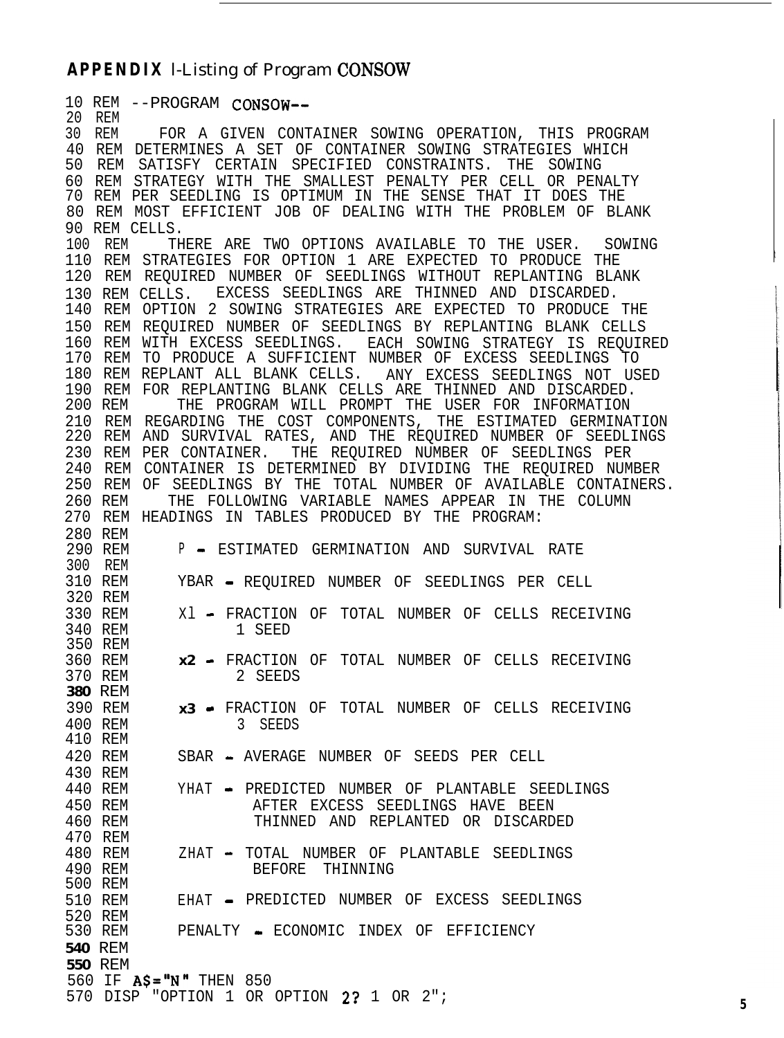# **APPENDIX** l-Listing of Program CONSOW

10 REM --PROGRAM CONSOW-- 20 REM 30 REM FOR A GIVEN CONTAINER SOWING OPERATION, THIS PROGRAM 40 REM DETERMINES A SET OF CONTAINER SOWING STRATEGIES WHICH 50 REM SATISFY CERTAIN SPECIFIED CONSTRAINTS. THE SOWING 60 REM STRATEGY WITH THE SMALLEST PENALTY PER CELL OR PENALTY 70 REM PER SEEDLING IS OPTIMUM IN THE SENSE THAT IT DOES THE 80 REM MOST EFFICIENT JOB OF DEALING WITH THE PROBLEM OF BLANK 90 REM CELLS. 100 REM THERE ARE TWO OPTIONS AVAILABLE TO THE USER. SOWING 110 REM STRATEGIES FOR OPTION 1 ARE EXPECTED TO PRODUCE THE 120 REM REQUIRED NUMBER OF SEEDLINGS WITHOUT REPLANTING BLANK ! 130 REM CELLS. EXCESS SEEDLINGS ARE THINNED AND DISCARDED. 140 REM OPTION 2 SOWING STRATEGIES ARE EXPECTED TO PRODUCE THE 150 REM REQUIRED NUMBER OF SEEDLINGS BY REPLANTING BLANK CELLS 160 REM WITH EXCESS SEEDLINGS. EACH SOWING STRATEGY IS REQUIRED 170 REM TO PRODUCE A SUFFICIENT NUMBER OF EXCESS SEEDLINGS TO 180 REM REPLANT ALL BLANK CELLS. ANY EXCESS SEEDLINGS NOT USED 190 REM FOR REPLANTING BLANK CELLS ARE THINNED AND DISCARDED.<br>200 REM THE PROGRAM WILL PROMPT THE USER FOR INFORMATION THE PROGRAM WILL PROMPT THE USER FOR INFORMATION 210 REM REGARDING THE COST COMPONENTS, THE ESTIMATED GERMINATION 220 REM AND SURVIVAL RATES, AND THE REQUIRED NUMBER OF SEEDLINGS 230 REM PER CONTAINER. THE REQUIRED NUMBER OF SEEDLINGS PER 240 REM CONTAINER IS DETERMINED BY DIVIDING THE REQUIRED NUMBER 250 REM OF SEEDLINGS BY THE TOTAL NUMBER OF AVAILABLE CONTAINERS. 260 REM THE FOLLOWING VARIABLE NAMES APPEAR IN THE COLUMN 270 REM HEADINGS IN TABLES PRODUCED BY THE PROGRAM: 280 REM<br>290 REM P - ESTIMATED GERMINATION AND SURVIVAL RATE 300 REM<br>310 REM YBAR - REQUIRED NUMBER OF SEEDLINGS PER CELL 320 REM 330 REM  $Xl$  - FRACTION OF TOTAL NUMBER OF CELLS RECEIVING 340 REM 1 SEED 350 REM 360 REM **x2** - FRACTION OF TOTAL NUMBER OF CELLS RECEIVING 370 REM 2 SEEDS **380** REM 390 REM **x3** - FRACTION OF TOTAL NUMBER OF CELLS RECEIVING 400 REM 3 SEEDS 410 REM 420 REM SBAR - AVERAGE NUMBER OF SEEDS PER CELL 430 REM 440 REM YHAT - PREDICTED NUMBER OF PLANTABLE SEEDLINGS 450 REM AFTER EXCESS SEEDLINGS HAVE BEEN 460 REM THINNED AND REPLANTED OR DISCARDED 470 REM 480 REM ZHAT - TOTAL NUMBER OF PLANTABLE SEEDLINGS 490 REM BEFORE THINNING 500 REM 510 REM EHAT - PREDICTED NUMBER OF EXCESS SEEDLINGS 520 REM<br>530 REM PENALTY - ECONOMIC INDEX OF EFFICIENCY **540** REM **550** REM 560 IF  $AS="N"$  THEN 850 570 DISP "OPTION 1 OR OPTION 2? 1 OR 2"; **<sup>5</sup>**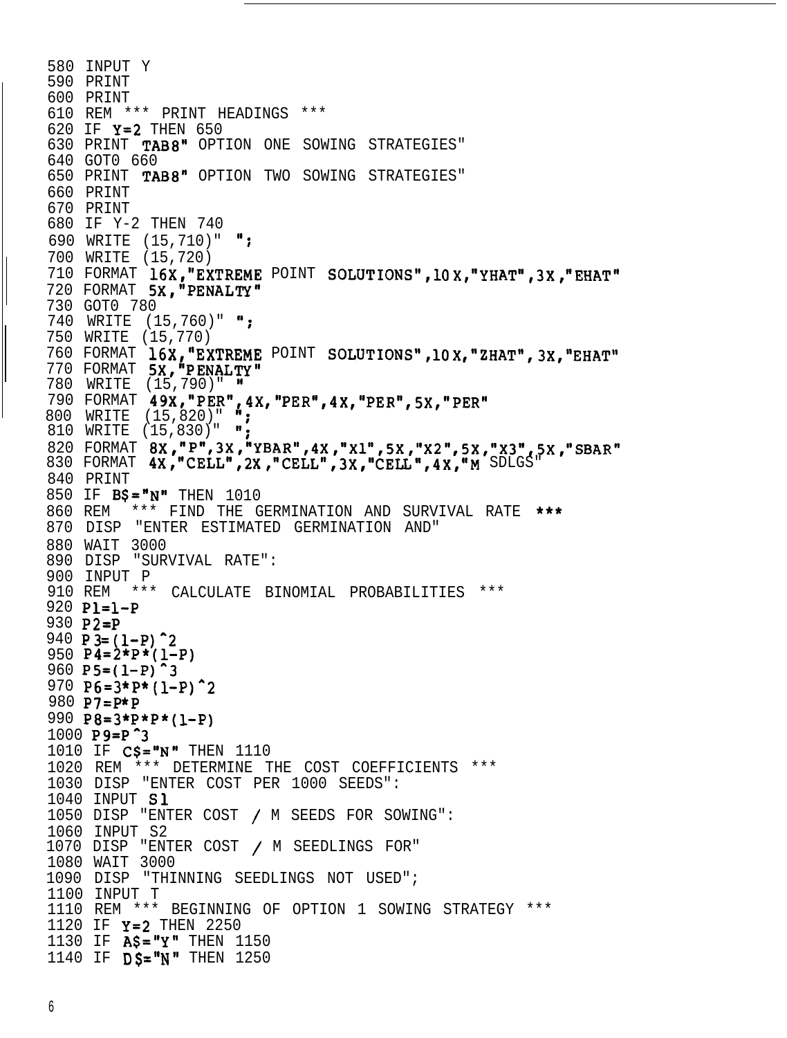```
580 INPUT Y
590 PRINT
600 PRINT
610 REM *** PRINT HEADINGS ***
620 IF Y=2 THEN 650
630 PRINT TAB8" OPTION ONE SOWING STRATEGIES"
640 GOT0 660
650 PRINT TAB8" OPTION TWO SOWING STRATEGIES"
660 PRINT
670 PRINT
680 IF Y-2 THEN 740
690 WRITE (15,710)" ";
700 WRITE (15,720)
710 FORMAT 16X,"EXTREME POINT SOLUTIONS",lOX,"YHAT",3X,"EHAT"
720 FORMAT 5X, "PENALTY"
730 GOT0 780
740 WRITE (15,760)" ";
750 WRITE (15,770)
760 FORMAT 16X,"EXTREME POINT SOLUTIONS",10X,"ZHAT",3X,"EHAT"
770 FORMAT 5X, "PENALTY'
780 WRITE (15,790)" "
790 FORMAT 49X,"PER",4X,"PER",4X,"PER",5X,"PER"
800 WRITE (15,820)" ";
810 WRITE (15,830)" ";
820 FORMAT 8X,"P",3X,"YBAR",4X,"X1",5X,"X2",5X,"X3",5X,"SBA
830 FORMAT 4X,"CELL",2X,"CELL",3X,"CELL",4X,"M SDLGS"
840 PRINT
850 IF BS = "N" THEN 1010
860 REM *** FIND THE GERMINATION AND SURVIVAL RATE ***
870 DISP "ENTER ESTIMATED GERMINATION AND"
880 WAIT 3000
890 DISP "SURVIVAL RATE":
900 INPUT P
910 REM *** CALCULATE BINOMIAL PROBABILITIES ***
920 Pl=l-P
930 P2=P
940 P 3= (1-P)^2950 P4=2*P*(1-P)960 P5=(1-P)970 P6=3*P*(1-P)^2980 P7=P*P
990 P8=3*P*P*(l-P)
1000 P9=P<sup>2</sup>3
1010 IF C$="N" THEN 1110
1020 REM *** DETERMINE THE COST COEFFICIENTS ***
1030 DISP "ENTER COST PER 1000 SEEDS":
1040 INPUT Sl
1050 DISP "ENTER COST / M SEEDS FOR SOWING":
1060 INPUT S2
1070 DISP "ENTER COST / M SEEDLINGS FOR"
1080 WAIT 3000
1090 DISP "THINNING SEEDLINGS NOT USED";
1100 INPUT T
1110 REM *** BEGINNING OF OPTION 1 SOWING STRATEGY ***
1120 IF Y=2 THEN 2250
1130 IF A\ = "Y" THEN 1150
1140 IF DS = "N" THEN 1250
```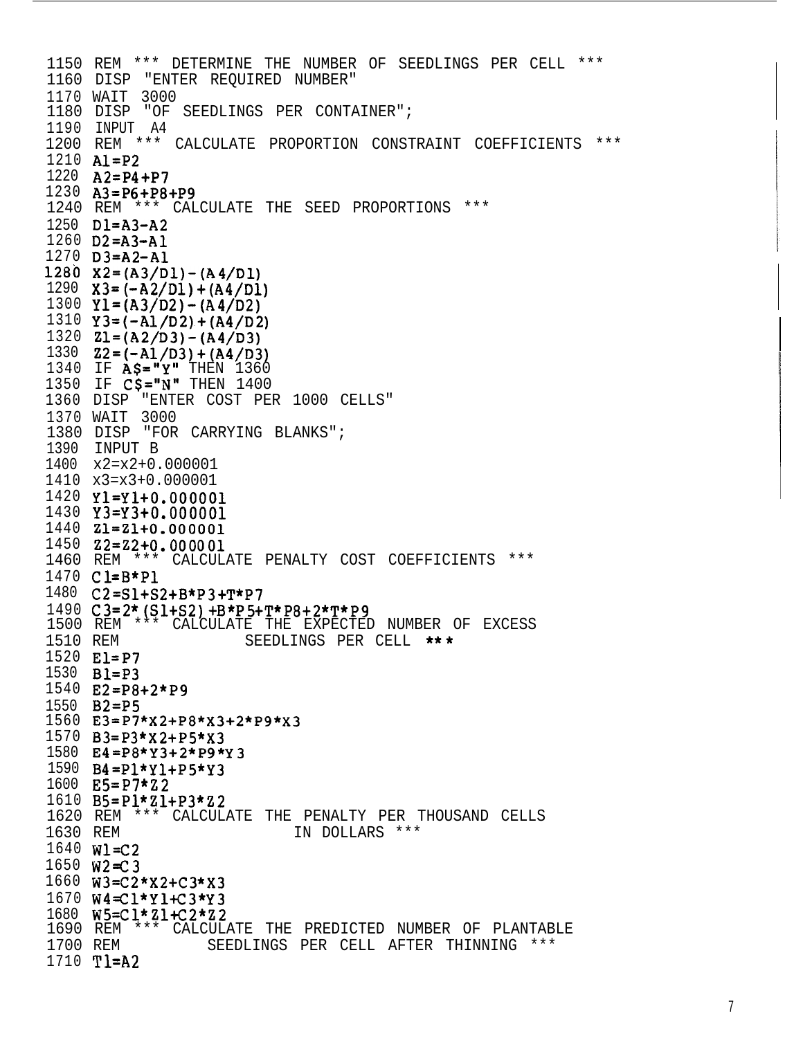1150 REM \*\*\* DETERMINE THE NUMBER OF SEEDLINGS PER CELL \*\*\* 1160 DISP "ENTER REQUIRED NUMBER" 1170 WAIT 3000 1180 DISP "OF SEEDLINGS PER CONTAINER"; 1190 INPUT A4 1200 REM \*\*\* CALCULATE PROPORTION CONSTRAINT COEFFICIENTS \*\*\*  $1210$  Al=P2 1220  $A2 = P4 + P7$ 1230  $A3 = P6 + P8 + P9$ 1240 REM \*\*\* CALCULATE THE SEED PROPORTIONS \*\*\*  $1250$   $DI = A3 - A2$  $1260$   $D2 = A3 - A1$  $1270$   $D3 = A2 - A1$ 1280  $X2 = (A3/D1) - (A4/D1)$ 1290  $X3 = (-A2/D1) + (A4/D1)$ 1300  $Y1 = (A3/D2) - (A4/D2)$ 1310  $Y3 = (-A1/D2) + (A4/D2)$ 1320  $Z1 = (A2/D3) - (A4/D3)$ 1330  $Z2 = (-A1/D3) + (A4/D3)$ 1340 IF  $\angle$ AS="Y" THEN 1360 1350 IF  $C$ \$="N" THEN 1400 1360 DISP "ENTER COST PER 1000 CELLS" 1370 WAIT 3000 1380 DISP "FOR CARRYING BLANKS"; 1390 INPUT B 1400 x2=x2+0.000001 1410 x3=x3+0.000001 1420 Y1=Y1+0.000001  $1430 \quad Y3 = Y3 + 0.000001$  $1440$   $21=21+0.000001$  $1450$   $Z2=Z2+0.000001$ 1460 REM \*\*\* CALCULATE PENALTY COST COEFFICIENTS \*\*\* 1470 Cl=B\*P1 1480 C2=S1+S2+B\*P3+T\*P7 1490  $C3=2*(S1+S2)+B*P5+T*P8+2*T*P9$ 1500 REM \*\*\* CALCULATE THE EXPECTED NUMBER OF EXCESS 1510 REM SEEDLINGS PER CELL \*\*\* 1520 El=P7 1530 **Bl=P3** 1540  $E2 = P8 + 2*P9$ 1550 B<sub>2</sub>=P<sub>5</sub> 1560  $E3 = P7 * X2 + P8 * X3 + 2 * P9 * X3$ 1570  $B3 = P3 * X2 + P5 * X3$ 1580 E4=P8\*Y3+2\*P9\*Y3 1590  $B4 = P1*Y1+P5*Y3$ 1600  $E5 = P7 * Z2$ 1610  $B5 = P1 * Z1 + P3 * Z2$ 1620 REM \*\*\* CALCULATE THE PENALTY PER THOUSAND CELLS 1630 REM IN DOLLARS \*\*\*  $1640$  Wl=C2 1650 W2=C3 1660  $W3 = C2*x2 + C3*x3$  $1670 W4 = C1*Y1+C3*Y3$ 1680 W5=Cl\*Zl+C2\*Z2 1690 REM \*\*\* CALCULATE THE PREDICTED NUMBER OF PLANTABLE 1700 REM SEEDLINGS PER CELL AFTER THINNING \*\*\* 1710 T1=A2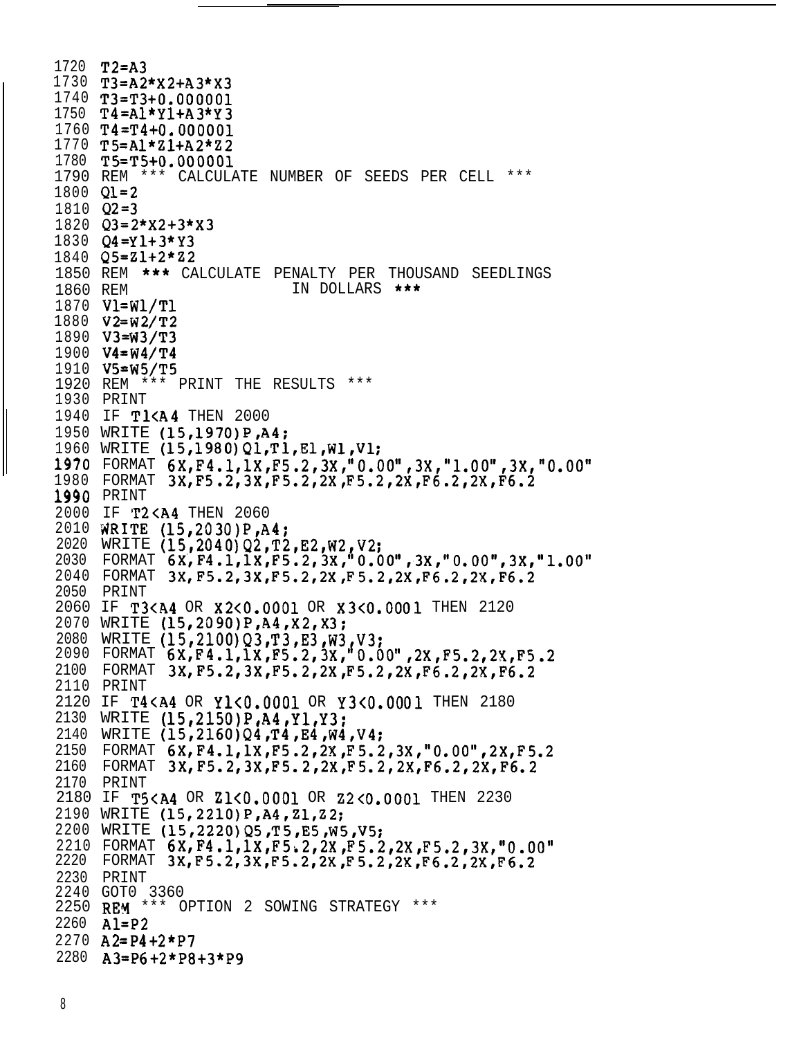```
1720 T2=A3
1730 T3=A2*X2+A3*X3
1740 T3=T3+0.000001
1750 T4=Al*Yl+A3*Y3
1760 T4=T4+0.000001
1770 TS=Al*Zl+A2*Z2
1780 T5=T5+0.000001
1790 REM *** CALCULATE NUMBER OF SEEDS PER CELL ***
1800 Q1=2
1810 Q2=3
1820 Q3=2*X2+3*X3
1830 Q4=Y1+3*Y3
1840 QS=Z1+2*22
1850 REM *** CALCULATE PENALTY PER THOUSAND SEEDLINGS
1860 REM IN DOLLARS ***
1870 Vl=Wl/Tl
1880 V2=W2/T2
1890 V3=W3/T3
1900 V4=W4/T4
1910 VS=W5/T5
1920 REM *** PRINT THE RESULTS ***
1930 PRINT
1940 IF T1<A4 THEN 2000
1950 WRITE (15,1970)P,A4;
1960 WRITE (15,1980)Q1,Tl,El,W1,Vl:
1970 FORMAT 6X,F4.l,lX,F5.2,3X,"0.00",3X,"1.00",3X,"0.00"
1980 FORMAT 3X,F5.2,3X,F5.2,2X,F5.2,2X,F6.2,2X,F6.2
1990 PRINT
2000 IF T2<A4 THEN 2060
2010 NRITE (15,2030)P,A4;
2020 WRITE (15,2040)Q2,T2,E2,W2,V2
2030 FORMAT 6X,F4.1,1X,F5.2,3X,"0.00",3X,'0.00",3X,"1.00"
2040 FORMAT 3X,F5.2,3X,F5.2,2XIF5.2,2X,F6.2,2X,F6.2
2050 PRINT
2060 IF T3<A4 OR X2<0.0001 OR X3<0.0001 THEN 2120
2070 WRITE (15,2090)P,A4,X2,X3:
2080 WRITE (15,2100)Q3,T3,E3,W3,V3:
2090 FORMAT 6X,F4.1,1X,F5.2,3X,'O.OO",2X,F5.2,2X,F5.2
2100 FORMAT 3X,F5.2,3X,F5.2,2XIF5.2,2X,F6.2,2X,F6.2
2110 PRINT
2120 IF T4<A4 OR Yl<O.OOOl OR Y3<0.0001 THEN 2180
2130 WRITE (15,2150)P,A4,Yl,Y3;
2140 WRITE (15, 2160) Q4, T4, E4, W4, V4;
2150 FORMAT 6X,F4.l,lX,F5.2,2X,F5.2,3X,"O.OO",2X,F5.2
2160 FORMAT 3X, F5.2,3X, F5.2,2X, F5.2, 2X, F6.2, 2X, F6.2
2170 PRINT
2180 IF TS<A4 OR Zl<O.OOOl OR Z2<0.0001 THEN 2230
2190 WRITE (15,2210)P,A4,Zl,Z2;
2200 WRITE (15,2220)Q5,T5,E5,W5,V5;
2210 FORMAT 6X,F4.1,1X,F5i2,2X,F5.2,2X,F5.2,3X,"0.001
2220 FORMAT 3X, F5.2, 3X, F5.2, 2X, F5.2, 2X, F6.2, 2X, F6.2
2230 PRINT
2240 GOT0 3360
2250 REM *** OPTION 2 SOWING STRATEGY ***
2260 Al=P2
2270 A2=P4+2*P7
2280 A3=P6+2*P8+3*P9
```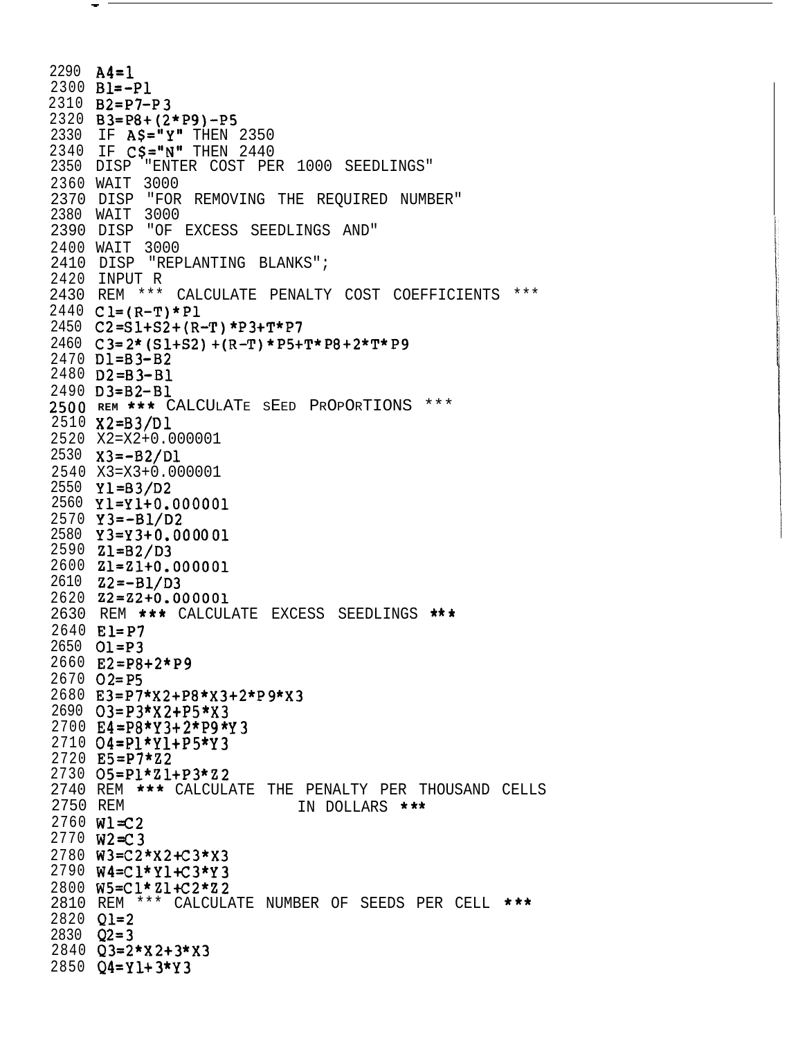```
2290 \text{ A4} = 12300 Bl =- Pl
2310 B2=P7-P3
2320 B3=P8+(2*P9)-P5
2330 IF AS="Y" THEN 2350
2340 IF CS="N" THEN 2440
2350 DISP "ENTER COST PER 1000 SEEDLINGS"
2360 WAIT 3000
2370 DISP "FOR REMOVING THE REQUIRED NUMBER"
2380 WAIT 3000
2390 DISP "OF EXCESS SEEDLINGS AND"
2400 WAIT 3000
2410 DISP "REPLANTING BLANKS";
2420 INPUT R
2430 REM *** CALCULATE PENALTY COST COEFFICIENTS ***
2440 CL=(R-T)*P12450 C2 = S1 + S2 + (R - T) * P3 + T * P72460 C 3= 2* (S 1+S2) + (R-T) * P5+T* P8 + 2*T* P9
2470 D1=B3-B2
2480 D2=B3-B1
2490 D3=B2-B1
2500 REM *** CALCULATE SEED PROPORTIONS ***
2510 X2=B3/D1
2520 X2=X2+0.000001
2530 \quad X3 = -B2/D12540 X3=X3+0.000001
2550 Y1 = B3/D22560 Y1=Y1+0.000001
2570 Y3 = -B1/D22580 Y3=Y3+0.000001
2590 Z1=B2/D3
2600 Z1=Z1+0.000001
2610 \quad Z2 = -B1/D32620 Z2 = Z2 + 0.0000012630 REM *** CALCULATE EXCESS SEEDLINGS ***
2640 El=P7
2650 Q1 = P32660 E2=P8+2*P9
2670 Q2 = P52680 E3=P7*X2+P8*X3+2*P9*X3
2690 03=P3*X2+P5*X3
2700 E4=P8*Y3+2*P9*Y3
2710 O4 = P1*Y1 + P5*Y32720 E5=P7*Z2
2730 O5=Pl*Z1+P3*Z2
2740 REM *** CALCULATE THE PENALTY PER THOUSAND CELLS
2750 REM
                            IN DOLLARS ***
2760 Wl=C2
2770 W2=C3
2780 W3=C2*X2+C3*X3
2790 W4=Cl*Y1+C3*Y3
2800 W5=Cl*Zl+C2*Z2
2810 REM *** CALCULATE NUMBER OF SEEDS PER CELL ***
2820 Q1=2
2830 Q2=32840 Q3=2*X2+3*X3
2850 Q4 = Y1 + 3*Y3
```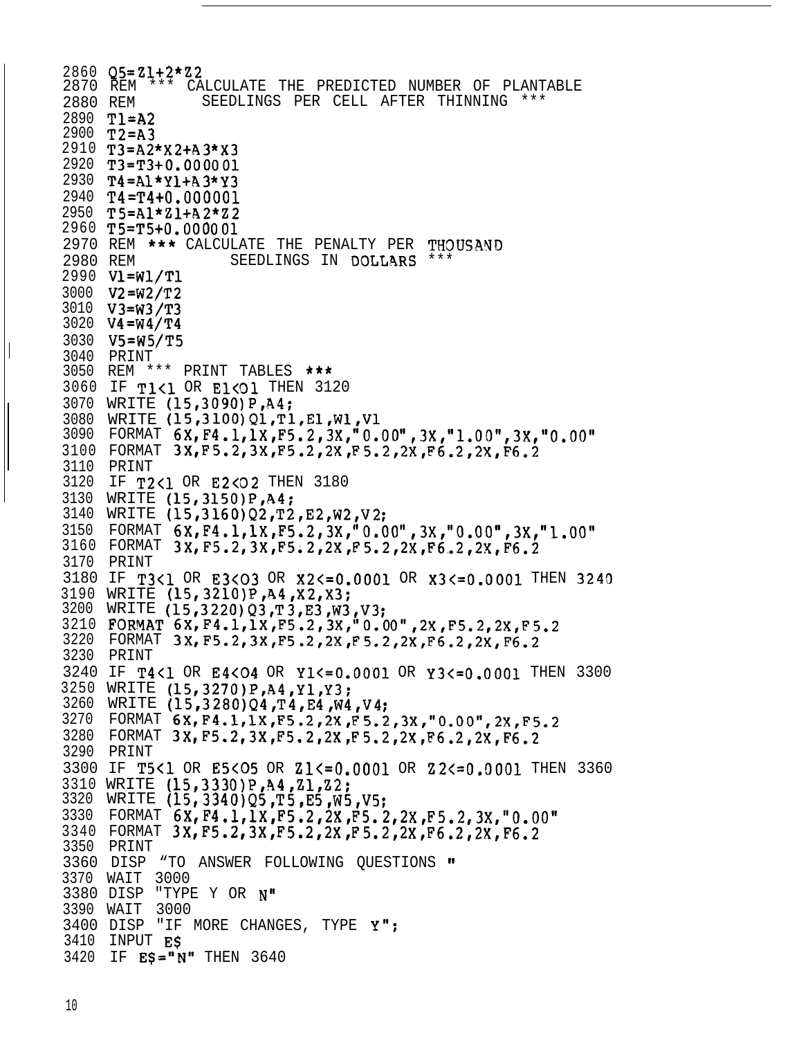```
2860 Q5=21+2*22
2870 REM *** CALCULATE THE PREDICTED NUMBER OF PLANTABLE
2880 REM SEEDLINGS PER CELL AFTER THINNING ***
2890 Tl=A2
2900 T2=A3
2910 T3=A2*X2+A3*X3
2920 T3=T3+0.000001
2930 T4=Al*Yl+A3*Y3
2940 T4=T4+0.000001
2950 TS=Al*Zl+A2*Z2
2960 T5=T5+0.000001
2970 REM *** CALCULATE THE PENALTY PER THDUSAND
2980 REM SEEDLINGS IN DOLLARS ***
2990 Vl=Wl/Tl
3000 V2=W2/T2
3010 V3=W3/T3
3020 V4=W4/T4
3030 V5=W5/T5
3040 PRINT
3050 REM *** PRINT TABLES ***
3060 IF T1<1 OR E1<01 THEN 3120
3070 WRITE (15,3090)P,A4;
3080 WRITE (15,3100)Q1,T1,El,W1,V1
3090 FORMAT 6X,F4.1,1X,F5.2,3X,"0.00",3X,"1.00",3X,"0.00"
3100 FORMAT 3XrF5.2,3X,F5.2,2X,F5.2,2X,F6.2,2X,F6.2
3110 PRINT
3120 IF T2<1 OR E2<02 THEN 3180
3130 WRITE (15,3150)P,A4:
3140 WRITE (15,3160)Q2,T2,E2,W2,V2;
3150 FORMAT 6X,F4.1,1X~F5.2,3X,"0.00",3X,"O.O0",3X,"1.00"
3160 FORMAT 3X,F5.2,3X,F5;2,2X,F5.2,2X,F6,.2,2X,F6.2
3170 PRINT
3180 IF T3<1 OR E3<03 OR X2<=0.0001 OR X3<=0.0001 THEN 3240
3190 WRITE (15,3210)P,A4,X2,X3;
3200 WRITE (15,3220)Q3,T3,E3,W3,V3;
3210 FORMAT 6X, F4.1,1X, F5.2,3X,"0.00", 2X, F5.2, 2X, F5.2
3220 FORMAT 3X, F5.2,3X, F5.2,2X, F5.2,2X, F6.2,2X, F6.2
3230 PRINT
3240 IF T4<1 OR E4<04 OR Yl<=O.OOOl OR Y3<=0.0001 THEN 3300
3250 WRITE (15,3270)P,A4,Yl,Y3:
3260 WRITE (15,3280)Q4,T4,E4,W4,V4;
3270 FORMAT 6X, F4.1, 1X, F5.2, 2X, F5.2, 3X, "0.00", 2X, F5.2
3280 FORMAT 3X, F5.2,3X, F5.2,2X, F5.2,2X, F6.2, 2X, F6.2
3290 PRINT
3300 IF T5<1 OR E5<05 OR Zl<=O.OOOl OR Z2<=0.0001 THEN 3360
3310 WRITE (15,3330)P,h4,Zl,Z2;
3320 WRITE (15,3340)QS,T5,ES,W5,V5;
3330 FORMAT 6X,F4.l,lX,F5.2,2X,F5.2,2X,F5.2,3X,"O.00"
3340 FORMAT 3XrF5.2,3X,F5.2,2X,F5.2,2X,F6.2,2X,F6.2
3350 PRINT
3360 DISP "TO ANSWER FOLLOWING QUESTIONS m
3370 WAIT 3000
3380 DISP "TYPE Y OR N"
3390 WAIT 3000
3400 DISP "IF MORE CHANGES, TYPE Y";
3410 INPUT E$
3420 IF E$="N" THEN 3640
```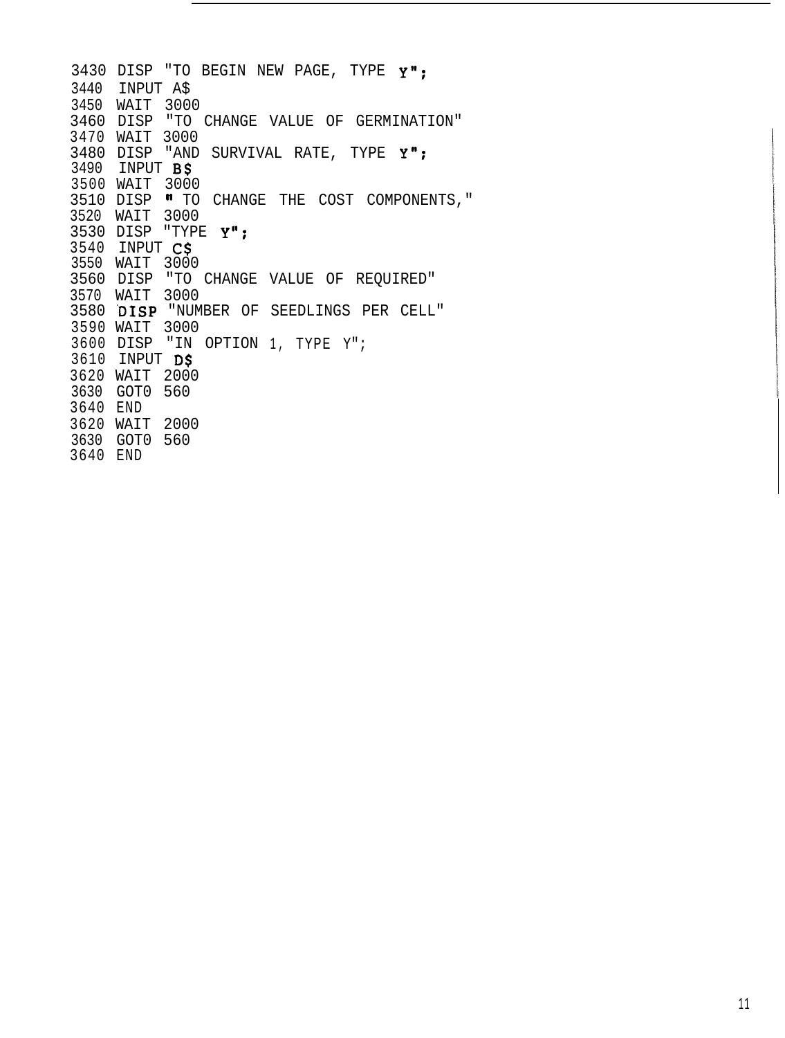3430 DISP "TO BEGIN NEW PAGE, TYPE Y"; INPUT A\$ WAIT 3000 3460 DISP "TO CHANGE VALUE OF GERMINATION" WAIT 3000 3480 DISP "AND SURVIVAL RATE, TYPE Y"; INPUT B\$ WAIT 3000 3510 DISP " TO CHANGE THE COST COMPONENTS, " WAIT 3000 3530 DISP "TYPE Y"; INPUT C\$ WAIT 3000 3560 DISP "TO CHANGE VALUE OF REQUIRED" WAIT 3000 3580 'DISP "NUMBER OF SEEDLINGS PER CELL" WAIT 3000 3600 DISP "IN OPTION 1, TYPE Y"; INPUT D\$ WAIT 2000 GOT0 560 END WAIT 2000 GOT0 560 END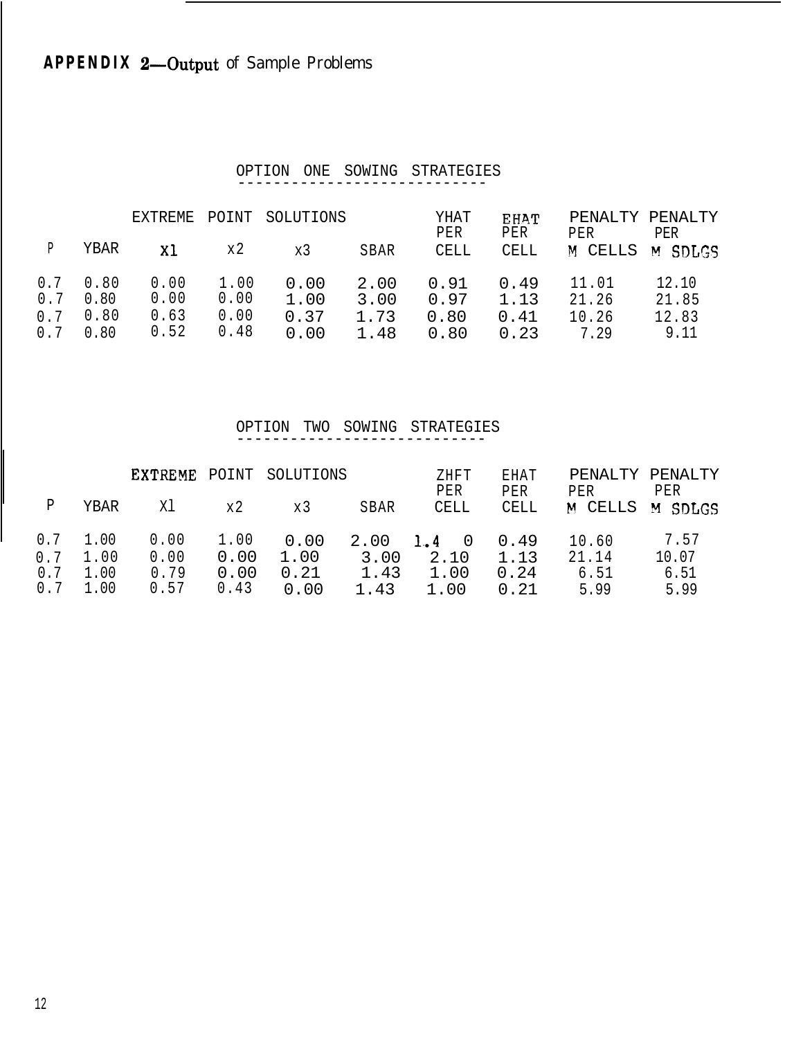# **APPENDIX 2-Output of Sample Problems**

#### OPTION ONE SOWING STRATEGIES ----------------------------

|                          |                              | F.XTR F.MF.                  | POINT                        | SOLUTIONS                    |                              | YHAT<br>PER                  | <b>FHAT</b><br>PER           | PENALTY PENALTY<br>PER          | PER                             |
|--------------------------|------------------------------|------------------------------|------------------------------|------------------------------|------------------------------|------------------------------|------------------------------|---------------------------------|---------------------------------|
|                          | YBAR                         | XI.                          | x2                           | x3                           | SBAR                         | CELL                         | CELL                         | M CELLS                         | M SDLGS                         |
| 0.7<br>0.7<br>0.7<br>0.7 | 0.80<br>0.80<br>0.80<br>0.80 | 0.00<br>0.00<br>0.63<br>0.52 | 1.00<br>0.00<br>0.00<br>0.48 | 0.00<br>1.00<br>0.37<br>0.00 | 2.00<br>3.00<br>1.73<br>1.48 | 0.91<br>0.97<br>0.80<br>0.80 | 0.49<br>1.13<br>0.41<br>0.23 | 11.01<br>21.26<br>10.26<br>7.29 | 12.10<br>21.85<br>12.83<br>9.11 |

#### OPTION TWO SOWING STRATEGIES ----------------------------

|     |                  | <b>EXTREME</b> |      | POINT SOLUTIONS |      | ZHFT<br>PER   | EHAT<br>PER | PENALTY PENALTY<br>PER | PER   |
|-----|------------------|----------------|------|-----------------|------|---------------|-------------|------------------------|-------|
| P   | YBAR             | Χl             | x 2. | x3              | SBAR | CELL          | CELL        | M CELLS M SDLGS        |       |
|     | $0.7 \quad 1.00$ | 0.00           | 1.00 | 0.00            | 2.00 | $1.4 \quad 0$ | 0.49        | 10.60                  | 7.57  |
| 0.7 | 1.00             | 0.00           | 0.00 | 1.00            | 3.00 | 2.10          | 1.13        | 21.14                  | 10.07 |
| 0.7 | 1.00             | 0.79           | 0.00 | 0.21            | 1.43 | 1.00          | 0.24        | 6.51                   | 6.51  |
| 0.7 | 1.00             | 0.57           | 0.43 | 0.00            | 1.43 | 1.00          | 0.21        | 5.99                   | 5.99  |